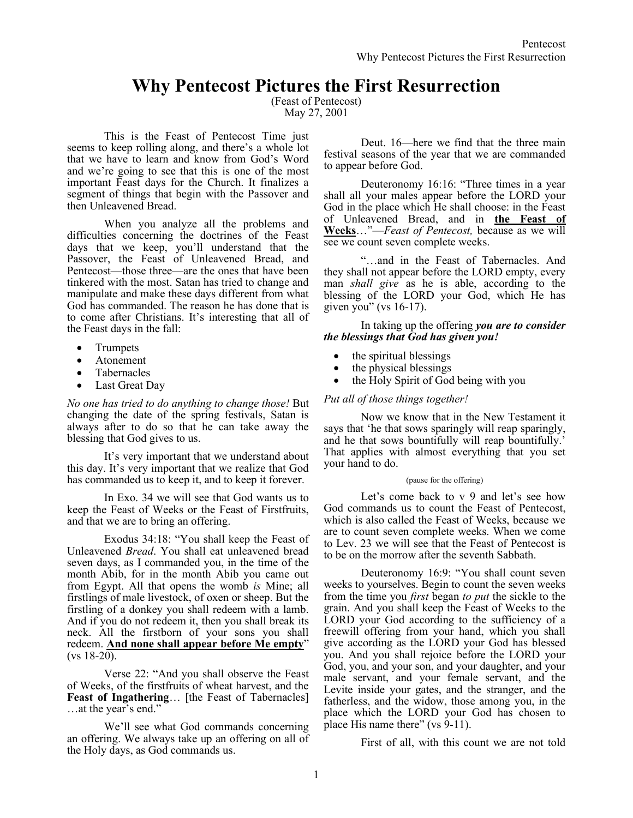# **Why Pentecost Pictures the First Resurrection**

(Feast of Pentecost) May 27, 2001

This is the Feast of Pentecost Time just seems to keep rolling along, and there's a whole lot that we have to learn and know from God's Word and we're going to see that this is one of the most important Feast days for the Church. It finalizes a segment of things that begin with the Passover and then Unleavened Bread.

When you analyze all the problems and difficulties concerning the doctrines of the Feast days that we keep, you'll understand that the Passover, the Feast of Unleavened Bread, and Pentecost—those three—are the ones that have been tinkered with the most. Satan has tried to change and manipulate and make these days different from what God has commanded. The reason he has done that is to come after Christians. It's interesting that all of the Feast days in the fall:

- Trumpets
- Atonement
- Tabernacles
- Last Great Day

*No one has tried to do anything to change those!* But changing the date of the spring festivals, Satan is always after to do so that he can take away the blessing that God gives to us.

It's very important that we understand about this day. It's very important that we realize that God has commanded us to keep it, and to keep it forever.

In Exo. 34 we will see that God wants us to keep the Feast of Weeks or the Feast of Firstfruits, and that we are to bring an offering.

Exodus 34:18: "You shall keep the Feast of Unleavened *Bread*. You shall eat unleavened bread seven days, as I commanded you, in the time of the month Abib, for in the month Abib you came out from Egypt. All that opens the womb *is* Mine; all firstlings of male livestock, of oxen or sheep. But the firstling of a donkey you shall redeem with a lamb. And if you do not redeem it, then you shall break its neck. All the firstborn of your sons you shall redeem. **And none shall appear before Me empty**"  $(vs 18-20)$ .

Verse 22: "And you shall observe the Feast of Weeks, of the firstfruits of wheat harvest, and the **Feast of Ingathering**… [the Feast of Tabernacles] …at the year's end."

We'll see what God commands concerning an offering. We always take up an offering on all of the Holy days, as God commands us.

Deut. 16—here we find that the three main festival seasons of the year that we are commanded to appear before God.

Deuteronomy 16:16: "Three times in a year shall all your males appear before the LORD your God in the place which He shall choose: in the Feast of Unleavened Bread, and in **the Feast of Weeks**…"—*Feast of Pentecost,* because as we will see we count seven complete weeks.

"…and in the Feast of Tabernacles. And they shall not appear before the LORD empty, every man *shall give* as he is able, according to the blessing of the LORD your God, which He has given you" (vs  $16-17$ ).

In taking up the offering *you are to consider the blessings that God has given you!*

- the spiritual blessings
- the physical blessings
- the Holy Spirit of God being with you

## *Put all of those things together!*

Now we know that in the New Testament it says that 'he that sows sparingly will reap sparingly, and he that sows bountifully will reap bountifully.' That applies with almost everything that you set your hand to do.

#### (pause for the offering)

Let's come back to v 9 and let's see how God commands us to count the Feast of Pentecost, which is also called the Feast of Weeks, because we are to count seven complete weeks. When we come to Lev. 23 we will see that the Feast of Pentecost is to be on the morrow after the seventh Sabbath.

Deuteronomy 16:9: "You shall count seven weeks to yourselves. Begin to count the seven weeks from the time you *first* began *to put* the sickle to the grain. And you shall keep the Feast of Weeks to the LORD your God according to the sufficiency of a freewill offering from your hand, which you shall give according as the LORD your God has blessed you. And you shall rejoice before the LORD your God, you, and your son, and your daughter, and your male servant, and your female servant, and the Levite inside your gates, and the stranger, and the fatherless, and the widow, those among you, in the place which the LORD your God has chosen to place His name there" (vs 9-11).

First of all, with this count we are not told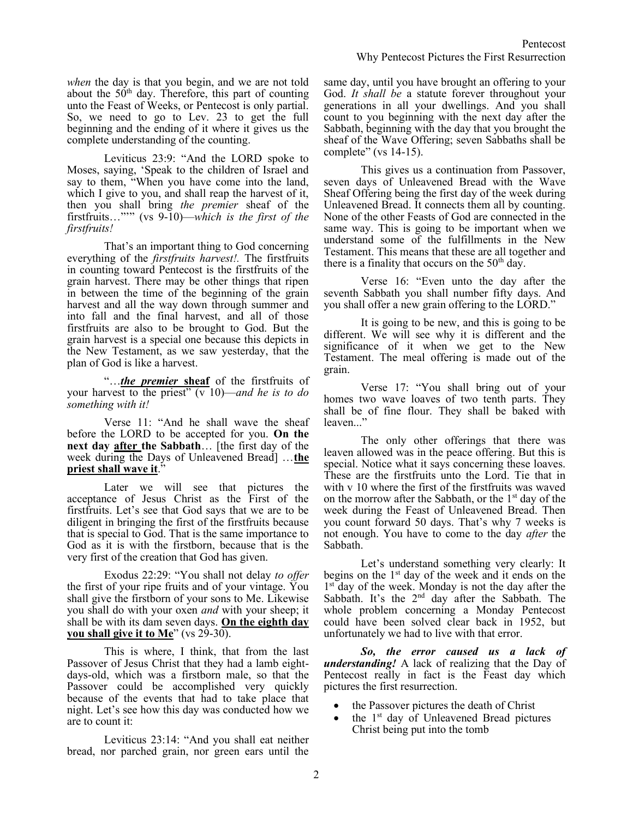*when* the day is that you begin, and we are not told about the  $50<sup>th</sup>$  day. Therefore, this part of counting unto the Feast of Weeks, or Pentecost is only partial. So, we need to go to Lev. 23 to get the full beginning and the ending of it where it gives us the complete understanding of the counting.

Leviticus 23:9: "And the LORD spoke to Moses, saying, 'Speak to the children of Israel and say to them, "When you have come into the land, which I give to you, and shall reap the harvest of it, then you shall bring *the premier* sheaf of the firstfruits…"'" (vs 9-10)—*which is the first of the firstfruits!* 

That's an important thing to God concerning everything of the *firstfruits harvest!.* The firstfruits in counting toward Pentecost is the firstfruits of the grain harvest. There may be other things that ripen in between the time of the beginning of the grain harvest and all the way down through summer and into fall and the final harvest, and all of those firstfruits are also to be brought to God. But the grain harvest is a special one because this depicts in the New Testament, as we saw yesterday, that the plan of God is like a harvest.

"…*the premier* **sheaf** of the firstfruits of your harvest to the priest" (v 10)—*and he is to do something with it!*

Verse 11: "And he shall wave the sheaf before the LORD to be accepted for you. **On the next day after the Sabbath**… [the first day of the week during the Days of Unleavened Bread] …**the priest shall wave it**."

Later we will see that pictures the acceptance of Jesus Christ as the First of the firstfruits. Let's see that God says that we are to be diligent in bringing the first of the firstfruits because that is special to God. That is the same importance to God as it is with the firstborn, because that is the very first of the creation that God has given.

Exodus 22:29: "You shall not delay *to offer* the first of your ripe fruits and of your vintage. You shall give the firstborn of your sons to Me. Likewise you shall do with your oxen *and* with your sheep; it shall be with its dam seven days. **On the eighth day you shall give it to Me**" (vs 29-30).

This is where, I think, that from the last Passover of Jesus Christ that they had a lamb eightdays-old, which was a firstborn male, so that the Passover could be accomplished very quickly because of the events that had to take place that night. Let's see how this day was conducted how we are to count it:

Leviticus 23:14: "And you shall eat neither bread, nor parched grain, nor green ears until the same day, until you have brought an offering to your God. *It shall be* a statute forever throughout your generations in all your dwellings. And you shall count to you beginning with the next day after the Sabbath, beginning with the day that you brought the sheaf of the Wave Offering; seven Sabbaths shall be complete" (vs 14-15).

This gives us a continuation from Passover, seven days of Unleavened Bread with the Wave Sheaf Offering being the first day of the week during Unleavened Bread. It connects them all by counting. None of the other Feasts of God are connected in the same way. This is going to be important when we understand some of the fulfillments in the New Testament. This means that these are all together and there is a finality that occurs on the  $50<sup>th</sup>$  day.

Verse 16: "Even unto the day after the seventh Sabbath you shall number fifty days. And you shall offer a new grain offering to the LORD."

It is going to be new, and this is going to be different. We will see why it is different and the significance of it when we get to the New Testament. The meal offering is made out of the grain.

Verse 17: "You shall bring out of your homes two wave loaves of two tenth parts. They shall be of fine flour. They shall be baked with leaven..."

The only other offerings that there was leaven allowed was in the peace offering. But this is special. Notice what it says concerning these loaves. These are the firstfruits unto the Lord. Tie that in with v 10 where the first of the firstfruits was waved on the morrow after the Sabbath, or the  $1<sup>st</sup>$  day of the week during the Feast of Unleavened Bread. Then you count forward 50 days. That's why 7 weeks is not enough. You have to come to the day *after* the Sabbath.

Let's understand something very clearly: It begins on the  $1<sup>st</sup>$  day of the week and it ends on the 1<sup>st day</sup> of the week. Monday is not the day after the Sabbath. It's the 2<sup>nd</sup> day after the Sabbath. The whole problem concerning a Monday Pentecost could have been solved clear back in 1952, but unfortunately we had to live with that error.

*So, the error caused us a lack of understanding!* A lack of realizing that the Day of Pentecost really in fact is the Feast day which pictures the first resurrection.

- the Passover pictures the death of Christ
- the 1<sup>st</sup> day of Unleavened Bread pictures Christ being put into the tomb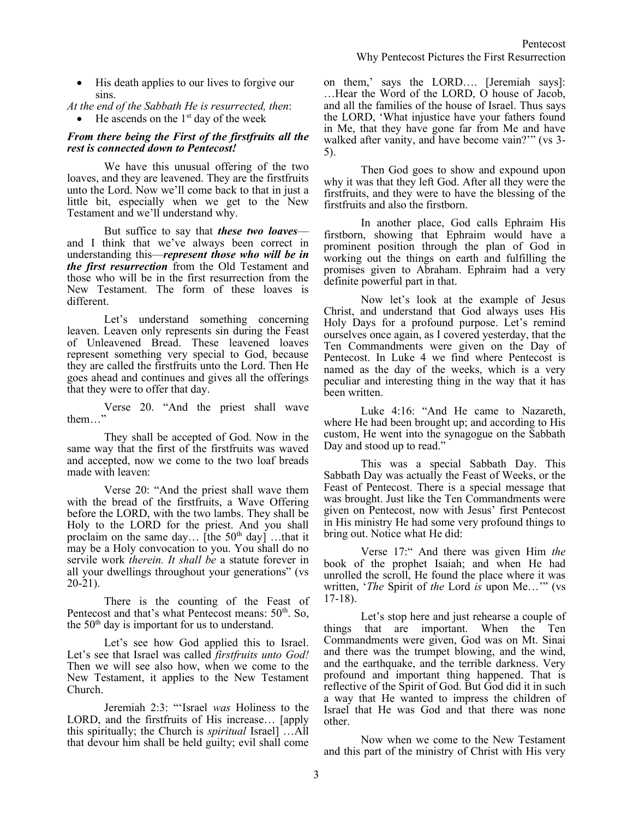- Pentecost Why Pentecost Pictures the First Resurrection
- His death applies to our lives to forgive our sins.

*At the end of the Sabbath He is resurrected, then*: • He ascends on the  $1<sup>st</sup>$  day of the week

#### *From there being the First of the firstfruits all the rest is connected down to Pentecost!*

We have this unusual offering of the two loaves, and they are leavened. They are the firstfruits unto the Lord. Now we'll come back to that in just a little bit, especially when we get to the New Testament and we'll understand why.

But suffice to say that *these two loaves* and I think that we've always been correct in understanding this—*represent those who will be in the first resurrection* from the Old Testament and those who will be in the first resurrection from the New Testament. The form of these loaves is different.

Let's understand something concerning leaven. Leaven only represents sin during the Feast of Unleavened Bread. These leavened loaves represent something very special to God, because they are called the firstfruits unto the Lord. Then He goes ahead and continues and gives all the offerings that they were to offer that day.

Verse 20. "And the priest shall wave them…"

They shall be accepted of God. Now in the same way that the first of the firstfruits was waved and accepted, now we come to the two loaf breads made with leaven:

Verse 20: "And the priest shall wave them with the bread of the firstfruits, a Wave Offering before the LORD, with the two lambs. They shall be Holy to the LORD for the priest. And you shall proclaim on the same day... [the  $50<sup>th</sup>$  day] ...that it may be a Holy convocation to you. You shall do no servile work *therein. It shall be* a statute forever in all your dwellings throughout your generations" (vs 20-21).

There is the counting of the Feast of Pentecost and that's what Pentecost means:  $50<sup>th</sup>$ . So, the  $50<sup>th</sup>$  day is important for us to understand.

Let's see how God applied this to Israel. Let's see that Israel was called *firstfruits unto God!* Then we will see also how, when we come to the New Testament, it applies to the New Testament Church.

Jeremiah 2:3: "'Israel *was* Holiness to the LORD, and the firstfruits of His increase… [apply this spiritually; the Church is *spiritual* Israel] …All that devour him shall be held guilty; evil shall come on them,' says the LORD…. [Jeremiah says]: …Hear the Word of the LORD, O house of Jacob, and all the families of the house of Israel. Thus says the LORD, 'What injustice have your fathers found in Me, that they have gone far from Me and have walked after vanity, and have become vain?"" (vs 3-5).

Then God goes to show and expound upon why it was that they left God. After all they were the firstfruits, and they were to have the blessing of the firstfruits and also the firstborn.

In another place, God calls Ephraim His firstborn, showing that Ephraim would have a prominent position through the plan of God in working out the things on earth and fulfilling the promises given to Abraham. Ephraim had a very definite powerful part in that.

Now let's look at the example of Jesus Christ, and understand that God always uses His Holy Days for a profound purpose. Let's remind ourselves once again, as I covered yesterday, that the Ten Commandments were given on the Day of Pentecost. In Luke 4 we find where Pentecost is named as the day of the weeks, which is a very peculiar and interesting thing in the way that it has been written.

Luke 4:16: "And He came to Nazareth, where He had been brought up; and according to His custom, He went into the synagogue on the Sabbath Day and stood up to read."

This was a special Sabbath Day. This Sabbath Day was actually the Feast of Weeks, or the Feast of Pentecost. There is a special message that was brought. Just like the Ten Commandments were given on Pentecost, now with Jesus' first Pentecost in His ministry He had some very profound things to bring out. Notice what He did:

Verse 17:" And there was given Him *the* book of the prophet Isaiah; and when He had unrolled the scroll, He found the place where it was written, '*The* Spirit of *the* Lord *is* upon Me…'" (vs 17-18).

Let's stop here and just rehearse a couple of things that are important. When the Ten Commandments were given, God was on Mt. Sinai and there was the trumpet blowing, and the wind, and the earthquake, and the terrible darkness. Very profound and important thing happened. That is reflective of the Spirit of God. But God did it in such a way that He wanted to impress the children of Israel that He was God and that there was none other.

Now when we come to the New Testament and this part of the ministry of Christ with His very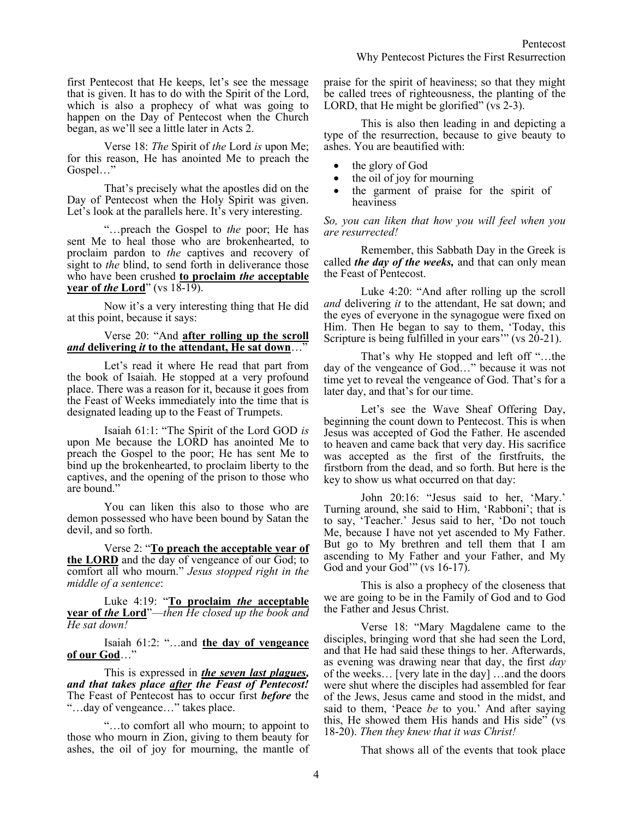first Pentecost that He keeps, let's see the message that is given. It has to do with the Spirit of the Lord, which is also a prophecy of what was going to happen on the Day of Pentecost when the Church began, as we'll see a little later in Acts 2.

Verse 18: *The* Spirit of *the* Lord *is* upon Me; for this reason, He has anointed Me to preach the Gospel…"

That's precisely what the apostles did on the Day of Pentecost when the Holy Spirit was given. Let's look at the parallels here. It's very interesting.

"…preach the Gospel to *the* poor; He has sent Me to heal those who are brokenhearted, to proclaim pardon to *the* captives and recovery of sight to *the* blind, to send forth in deliverance those who have been crushed **to proclaim** *the* **acceptable year of** *the* **Lord**" (vs 18-19).

Now it's a very interesting thing that He did at this point, because it says:

## Verse 20: "And **after rolling up the scroll**  *and* **delivering** *it* **to the attendant, He sat down**…"

Let's read it where He read that part from the book of Isaiah. He stopped at a very profound place. There was a reason for it, because it goes from the Feast of Weeks immediately into the time that is designated leading up to the Feast of Trumpets.

Isaiah 61:1: "The Spirit of the Lord GOD *is* upon Me because the LORD has anointed Me to preach the Gospel to the poor; He has sent Me to bind up the brokenhearted, to proclaim liberty to the captives, and the opening of the prison to those who are bound."

You can liken this also to those who are demon possessed who have been bound by Satan the devil, and so forth.

Verse 2: "**To preach the acceptable year of the LORD** and the day of vengeance of our God; to comfort all who mourn." *Jesus stopped right in the middle of a sentence*:

Luke 4:19: "**To proclaim** *the* **acceptable year of** *the* **Lord**"—*then He closed up the book and He sat down!*

Isaiah 61:2: "…and **the day of vengeance of our God**…"

This is expressed in *the seven last plagues, and that takes place after the Feast of Pentecost!* The Feast of Pentecost has to occur first *before* the "…day of vengeance…" takes place.

"…to comfort all who mourn; to appoint to those who mourn in Zion, giving to them beauty for ashes, the oil of joy for mourning, the mantle of praise for the spirit of heaviness; so that they might be called trees of righteousness, the planting of the LORD, that He might be glorified" (vs 2-3).

This is also then leading in and depicting a type of the resurrection, because to give beauty to ashes. You are beautified with:

- the glory of God
- the oil of joy for mourning
- the garment of praise for the spirit of heaviness

*So, you can liken that how you will feel when you are resurrected!*

Remember, this Sabbath Day in the Greek is called *the day of the weeks,* and that can only mean the Feast of Pentecost.

Luke 4:20: "And after rolling up the scroll *and* delivering *it* to the attendant, He sat down; and the eyes of everyone in the synagogue were fixed on Him. Then He began to say to them, 'Today, this Scripture is being fulfilled in your ears" (vs 20-21).

That's why He stopped and left off "…the day of the vengeance of God…" because it was not time yet to reveal the vengeance of God. That's for a later day, and that's for our time.

Let's see the Wave Sheaf Offering Day, beginning the count down to Pentecost. This is when Jesus was accepted of God the Father. He ascended to heaven and came back that very day. His sacrifice was accepted as the first of the firstfruits, the firstborn from the dead, and so forth. But here is the key to show us what occurred on that day:

John 20:16: "Jesus said to her, 'Mary.' Turning around, she said to Him, 'Rabboni'; that is to say, 'Teacher.' Jesus said to her, 'Do not touch Me, because I have not yet ascended to My Father. But go to My brethren and tell them that I am ascending to My Father and your Father, and My God and your God'" (vs 16-17).

This is also a prophecy of the closeness that we are going to be in the Family of God and to God the Father and Jesus Christ.

Verse 18: "Mary Magdalene came to the disciples, bringing word that she had seen the Lord, and that He had said these things to her. Afterwards, as evening was drawing near that day, the first *day* of the weeks… [very late in the day] …and the doors were shut where the disciples had assembled for fear of the Jews, Jesus came and stood in the midst, and said to them, 'Peace *be* to you.' And after saying this, He showed them His hands and His side" (vs 18-20). *Then they knew that it was Christ!*

That shows all of the events that took place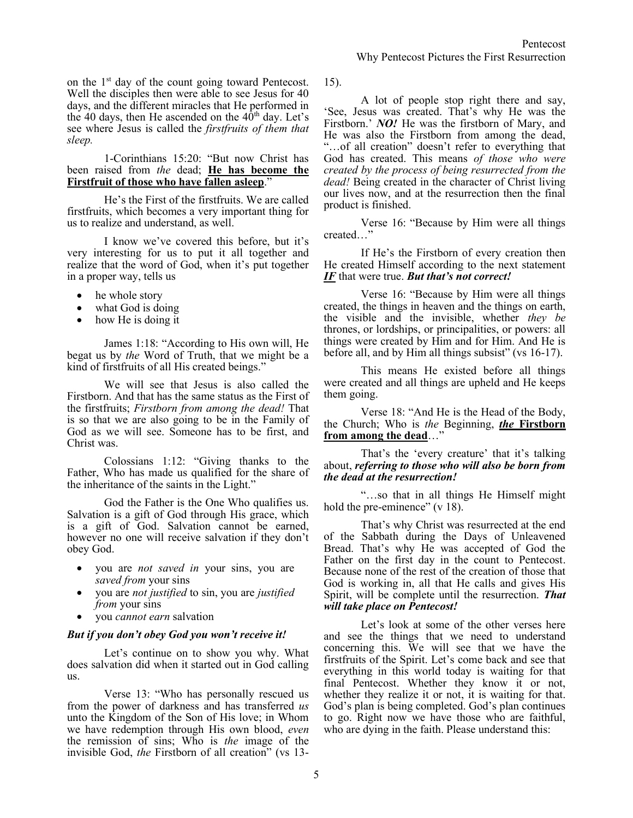on the 1<sup>st</sup> day of the count going toward Pentecost. Well the disciples then were able to see Jesus for 40 days, and the different miracles that He performed in the 40 days, then He ascended on the  $40<sup>th</sup>$  day. Let's see where Jesus is called the *firstfruits of them that sleep.*

#### 1-Corinthians 15:20: "But now Christ has been raised from *the* dead; **He has become the Firstfruit of those who have fallen asleep**."

He's the First of the firstfruits. We are called firstfruits, which becomes a very important thing for us to realize and understand, as well.

I know we've covered this before, but it's very interesting for us to put it all together and realize that the word of God, when it's put together in a proper way, tells us

- he whole story
- what God is doing
- how He is doing it

James 1:18: "According to His own will, He begat us by *the* Word of Truth, that we might be a kind of firstfruits of all His created beings."

We will see that Jesus is also called the Firstborn. And that has the same status as the First of the firstfruits; *Firstborn from among the dead!* That is so that we are also going to be in the Family of God as we will see. Someone has to be first, and Christ was.

Colossians 1:12: "Giving thanks to the Father, Who has made us qualified for the share of the inheritance of the saints in the Light."

God the Father is the One Who qualifies us. Salvation is a gift of God through His grace, which is a gift of God. Salvation cannot be earned, however no one will receive salvation if they don't obey God.

- you are *not saved in* your sins, you are *saved from* your sins
- you are *not justified* to sin, you are *justified from* your sins
- you *cannot earn* salvation

#### *But if you don't obey God you won't receive it!*

Let's continue on to show you why. What does salvation did when it started out in God calling us.

Verse 13: "Who has personally rescued us from the power of darkness and has transferred *us* unto the Kingdom of the Son of His love; in Whom we have redemption through His own blood, *even* the remission of sins; Who is *the* image of the invisible God, *the* Firstborn of all creation" (vs 1315).

A lot of people stop right there and say, 'See, Jesus was created. That's why He was the Firstborn.' *NO!* He was the firstborn of Mary, and He was also the Firstborn from among the dead, "…of all creation" doesn't refer to everything that God has created. This means *of those who were created by the process of being resurrected from the dead!* Being created in the character of Christ living our lives now, and at the resurrection then the final product is finished.

Verse 16: "Because by Him were all things created…"

If He's the Firstborn of every creation then He created Himself according to the next statement *IF* that were true. *But that's not correct!*

Verse 16: "Because by Him were all things created, the things in heaven and the things on earth, the visible and the invisible, whether *they be* thrones, or lordships, or principalities, or powers: all things were created by Him and for Him. And He is before all, and by Him all things subsist" (vs 16-17).

This means He existed before all things were created and all things are upheld and He keeps them going.

Verse 18: "And He is the Head of the Body, the Church; Who is *the* Beginning, *the* **Firstborn from among the dead**…"

That's the 'every creature' that it's talking about, *referring to those who will also be born from the dead at the resurrection!*

"…so that in all things He Himself might hold the pre-eminence" (v 18).

That's why Christ was resurrected at the end of the Sabbath during the Days of Unleavened Bread. That's why He was accepted of God the Father on the first day in the count to Pentecost. Because none of the rest of the creation of those that God is working in, all that He calls and gives His Spirit, will be complete until the resurrection. *That will take place on Pentecost!*

Let's look at some of the other verses here and see the things that we need to understand concerning this. We will see that we have the firstfruits of the Spirit. Let's come back and see that everything in this world today is waiting for that final Pentecost. Whether they know it or not, whether they realize it or not, it is waiting for that. God's plan is being completed. God's plan continues to go. Right now we have those who are faithful, who are dying in the faith. Please understand this: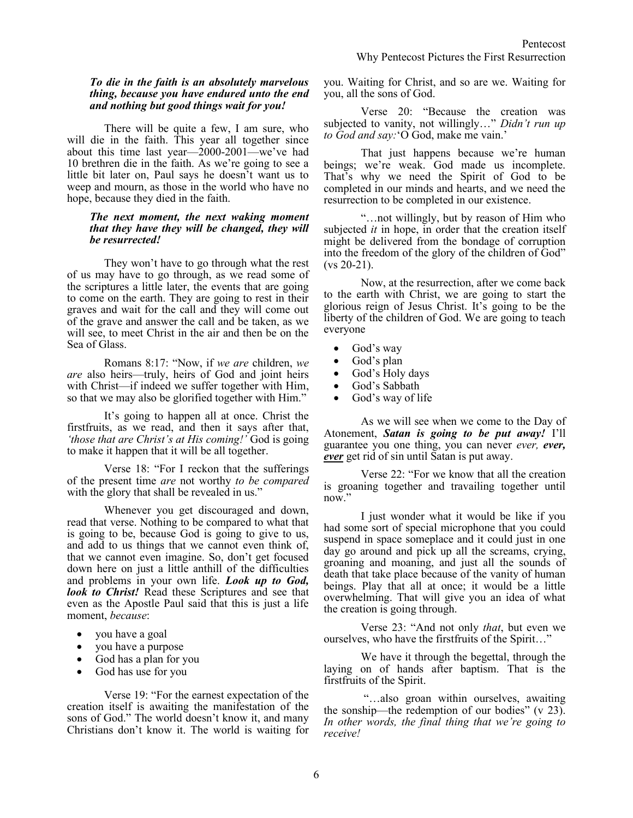#### *To die in the faith is an absolutely marvelous thing, because you have endured unto the end and nothing but good things wait for you!*

There will be quite a few, I am sure, who will die in the faith. This year all together since about this time last year— $2000-2001$ —we've had 10 brethren die in the faith. As we're going to see a little bit later on, Paul says he doesn't want us to weep and mourn, as those in the world who have no hope, because they died in the faith.

#### *The next moment, the next waking moment that they have they will be changed, they will be resurrected!*

They won't have to go through what the rest of us may have to go through, as we read some of the scriptures a little later, the events that are going to come on the earth. They are going to rest in their graves and wait for the call and they will come out of the grave and answer the call and be taken, as we will see, to meet Christ in the air and then be on the Sea of Glass.

Romans 8:17: "Now, if *we are* children, *we are* also heirs—truly, heirs of God and joint heirs with Christ—if indeed we suffer together with Him, so that we may also be glorified together with Him."

It's going to happen all at once. Christ the firstfruits, as we read, and then it says after that, *'those that are Christ's at His coming!'* God is going to make it happen that it will be all together.

Verse 18: "For I reckon that the sufferings of the present time *are* not worthy *to be compared* with the glory that shall be revealed in us."

Whenever you get discouraged and down, read that verse. Nothing to be compared to what that is going to be, because God is going to give to us, and add to us things that we cannot even think of, that we cannot even imagine. So, don't get focused down here on just a little anthill of the difficulties and problems in your own life. *Look up to God, look to Christ!* Read these Scriptures and see that even as the Apostle Paul said that this is just a life moment, *because*:

- you have a goal
- you have a purpose
- God has a plan for you
- God has use for you

Verse 19: "For the earnest expectation of the creation itself is awaiting the manifestation of the sons of God." The world doesn't know it, and many Christians don't know it. The world is waiting for you. Waiting for Christ, and so are we. Waiting for you, all the sons of God.

Verse 20: "Because the creation was subjected to vanity, not willingly…" *Didn't run up to God and say:*'O God, make me vain.'

That just happens because we're human beings; we're weak. God made us incomplete. That's why we need the Spirit of God to be completed in our minds and hearts, and we need the resurrection to be completed in our existence.

"…not willingly, but by reason of Him who subjected *it* in hope, in order that the creation itself might be delivered from the bondage of corruption into the freedom of the glory of the children of God" (vs 20-21).

Now, at the resurrection, after we come back to the earth with Christ, we are going to start the glorious reign of Jesus Christ. It's going to be the liberty of the children of God. We are going to teach everyone

- God's way
- God's plan
- God's Holy days
- God's Sabbath
- God's way of life

As we will see when we come to the Day of Atonement, *Satan is going to be put away!* I'll guarantee you one thing, you can never *ever, ever, ever* get rid of sin until Satan is put away.

Verse 22: "For we know that all the creation is groaning together and travailing together until now."

I just wonder what it would be like if you had some sort of special microphone that you could suspend in space someplace and it could just in one day go around and pick up all the screams, crying, groaning and moaning, and just all the sounds of death that take place because of the vanity of human beings. Play that all at once; it would be a little overwhelming. That will give you an idea of what the creation is going through.

Verse 23: "And not only *that*, but even we ourselves, who have the firstfruits of the Spirit…"

We have it through the begettal, through the laying on of hands after baptism. That is the firstfruits of the Spirit.

"…also groan within ourselves, awaiting the sonship—the redemption of our bodies" (v 23). *In other words, the final thing that we're going to receive!*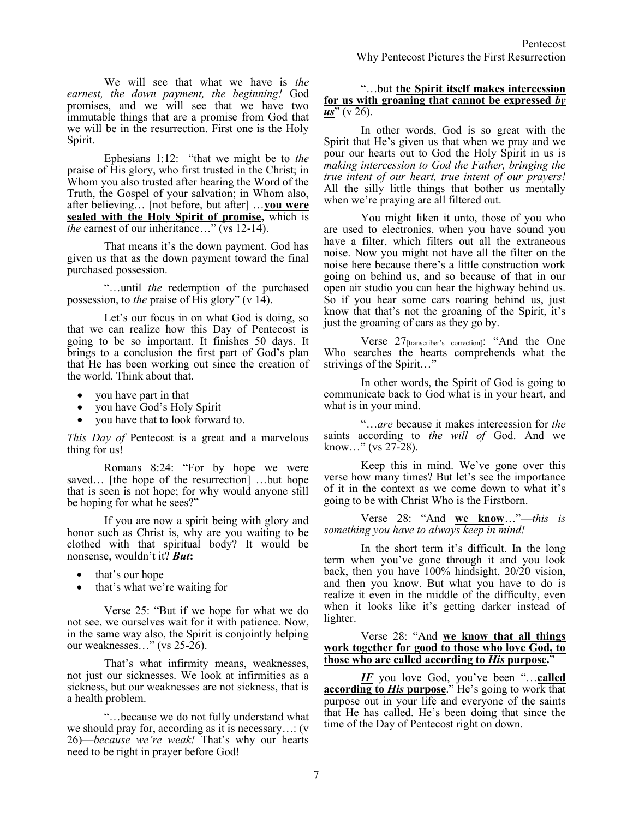We will see that what we have is *the earnest, the down payment, the beginning!* God promises, and we will see that we have two immutable things that are a promise from God that we will be in the resurrection. First one is the Holy Spirit.

Ephesians 1:12: "that we might be to *the* praise of His glory, who first trusted in the Christ; in Whom you also trusted after hearing the Word of the Truth, the Gospel of your salvation; in Whom also, after believing… [not before, but after] …**you were sealed with the Holy Spirit of promise,** which is *the* earnest of our inheritance…" (vs 12-14).

That means it's the down payment. God has given us that as the down payment toward the final purchased possession.

"…until *the* redemption of the purchased possession, to *the* praise of His glory" (v 14).

Let's our focus in on what God is doing, so that we can realize how this Day of Pentecost is going to be so important. It finishes 50 days. It brings to a conclusion the first part of God's plan that He has been working out since the creation of the world. Think about that.

- you have part in that
- you have God's Holy Spirit
- you have that to look forward to.

*This Day of* Pentecost is a great and a marvelous thing for us!

Romans 8:24: "For by hope we were saved… [the hope of the resurrection] …but hope that is seen is not hope; for why would anyone still be hoping for what he sees?"

If you are now a spirit being with glory and honor such as Christ is, why are you waiting to be clothed with that spiritual body? It would be nonsense, wouldn't it? *But***:**

- that's our hope
- that's what we're waiting for

Verse 25: "But if we hope for what we do not see, we ourselves wait for it with patience. Now, in the same way also, the Spirit is conjointly helping our weaknesses…" (vs 25-26).

That's what infirmity means, weaknesses, not just our sicknesses. We look at infirmities as a sickness, but our weaknesses are not sickness, that is a health problem.

"…because we do not fully understand what we should pray for, according as it is necessary…: (v 26)—*because we're weak!* That's why our hearts need to be right in prayer before God!

## "…but **the Spirit itself makes intercession for us with groaning that cannot be expressed** *by us*" (v 26).

In other words, God is so great with the Spirit that He's given us that when we pray and we pour our hearts out to God the Holy Spirit in us is *making intercession to God the Father, bringing the true intent of our heart, true intent of our prayers!* All the silly little things that bother us mentally when we're praying are all filtered out.

You might liken it unto, those of you who are used to electronics, when you have sound you have a filter, which filters out all the extraneous noise. Now you might not have all the filter on the noise here because there's a little construction work going on behind us, and so because of that in our open air studio you can hear the highway behind us. So if you hear some cars roaring behind us, just know that that's not the groaning of the Spirit, it's just the groaning of cars as they go by.

Verse 27[transcriber's correction]: "And the One Who searches the hearts comprehends what the strivings of the Spirit…"

In other words, the Spirit of God is going to communicate back to God what is in your heart, and what is in your mind.

"…*are* because it makes intercession for *the* saints according to *the will of* God. And we know…" (vs 27-28).

Keep this in mind. We've gone over this verse how many times? But let's see the importance of it in the context as we come down to what it's going to be with Christ Who is the Firstborn.

Verse 28: "And **we know**…"—*this is something you have to always keep in mind!*

In the short term it's difficult. In the long term when you've gone through it and you look back, then you have 100% hindsight, 20/20 vision, and then you know. But what you have to do is realize it even in the middle of the difficulty, even when it looks like it's getting darker instead of lighter.

Verse 28: "And **we know that all things work together for good to those who love God, to those who are called according to** *His* **purpose.**"

*IF* you love God, you've been "…**called according to** *His* **purpose**." He's going to work that purpose out in your life and everyone of the saints that He has called. He's been doing that since the time of the Day of Pentecost right on down.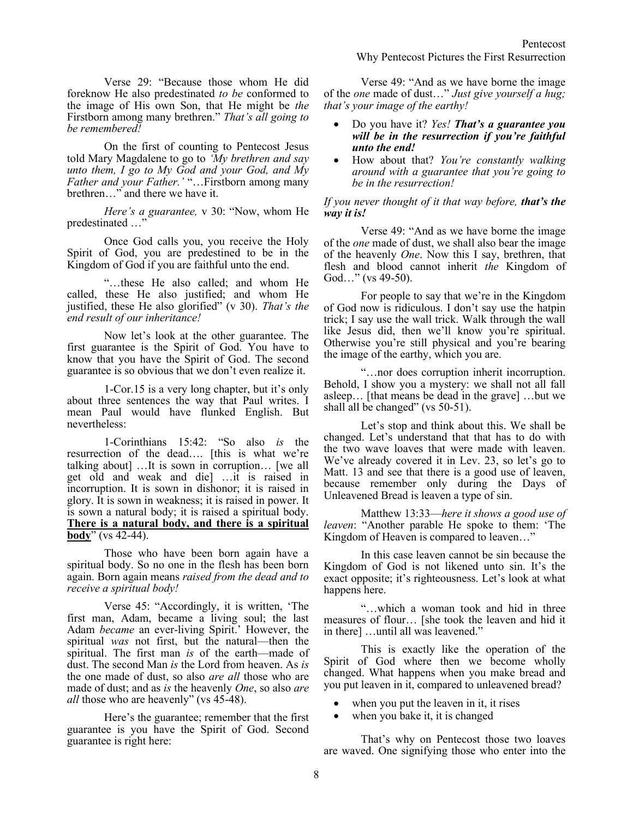Verse 29: "Because those whom He did foreknow He also predestinated *to be* conformed to the image of His own Son, that He might be *the* Firstborn among many brethren." *That's all going to be remembered!*

On the first of counting to Pentecost Jesus told Mary Magdalene to go to *'My brethren and say unto them, I go to My God and your God, and My Father and your Father.'* "…Firstborn among many brethren…" and there we have it.

*Here's a guarantee,* v 30: "Now, whom He predestinated …"

Once God calls you, you receive the Holy Spirit of God, you are predestined to be in the Kingdom of God if you are faithful unto the end.

"…these He also called; and whom He called, these He also justified; and whom He justified, these He also glorified" (v 30). *That's the end result of our inheritance!*

Now let's look at the other guarantee. The first guarantee is the Spirit of God. You have to know that you have the Spirit of God. The second guarantee is so obvious that we don't even realize it.

1-Cor.15 is a very long chapter, but it's only about three sentences the way that Paul writes. I mean Paul would have flunked English. But nevertheless:

1-Corinthians 15:42: "So also *is* the resurrection of the dead…. [this is what we're talking about] …It is sown in corruption… [we all get old and weak and die] …it is raised in incorruption. It is sown in dishonor; it is raised in glory. It is sown in weakness; it is raised in power. It is sown a natural body; it is raised a spiritual body. **There is a natural body, and there is a spiritual body**" (vs 42-44).

Those who have been born again have a spiritual body. So no one in the flesh has been born again. Born again means *raised from the dead and to receive a spiritual body!*

Verse 45: "Accordingly, it is written, 'The first man, Adam, became a living soul; the last Adam *became* an ever-living Spirit.' However, the spiritual *was* not first, but the natural—then the spiritual. The first man *is* of the earth—made of dust. The second Man *is* the Lord from heaven. As *is* the one made of dust, so also *are all* those who are made of dust; and as *is* the heavenly *One*, so also *are all* those who are heavenly" (vs 45-48).

Here's the guarantee; remember that the first guarantee is you have the Spirit of God. Second guarantee is right here:

Verse 49: "And as we have borne the image of the *one* made of dust…" *Just give yourself a hug; that's your image of the earthy!* 

- Do you have it? *Yes! That's a guarantee you will be in the resurrection if you're faithful unto the end!*
- How about that? *You're constantly walking around with a guarantee that you're going to be in the resurrection!*

## *If you never thought of it that way before, that's the way it is!*

Verse 49: "And as we have borne the image of the *one* made of dust, we shall also bear the image of the heavenly *One*. Now this I say, brethren, that flesh and blood cannot inherit *the* Kingdom of God…" (vs 49-50).

For people to say that we're in the Kingdom of God now is ridiculous. I don't say use the hatpin trick; I say use the wall trick. Walk through the wall like Jesus did, then we'll know you're spiritual. Otherwise you're still physical and you're bearing the image of the earthy, which you are.

"…nor does corruption inherit incorruption. Behold, I show you a mystery: we shall not all fall asleep… [that means be dead in the grave] …but we shall all be changed" (vs 50-51).

Let's stop and think about this. We shall be changed. Let's understand that that has to do with the two wave loaves that were made with leaven. We've already covered it in Lev. 23, so let's go to Matt. 13 and see that there is a good use of leaven, because remember only during the Days of Unleavened Bread is leaven a type of sin.

Matthew 13:33—*here it shows a good use of leaven*: "Another parable He spoke to them: 'The Kingdom of Heaven is compared to leaven…"

In this case leaven cannot be sin because the Kingdom of God is not likened unto sin. It's the exact opposite; it's righteousness. Let's look at what happens here.

"…which a woman took and hid in three measures of flour… [she took the leaven and hid it in there] …until all was leavened."

This is exactly like the operation of the Spirit of God where then we become wholly changed. What happens when you make bread and you put leaven in it, compared to unleavened bread?

- when you put the leaven in it, it rises
- when you bake it, it is changed

That's why on Pentecost those two loaves are waved. One signifying those who enter into the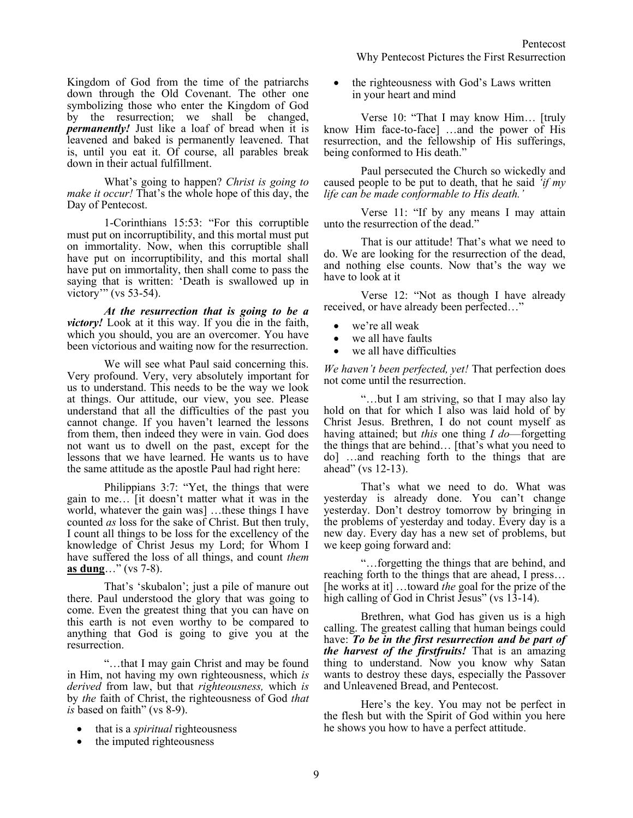Kingdom of God from the time of the patriarchs down through the Old Covenant. The other one symbolizing those who enter the Kingdom of God by the resurrection; we shall be changed, *permanently!* Just like a loaf of bread when it is leavened and baked is permanently leavened. That is, until you eat it. Of course, all parables break down in their actual fulfillment.

What's going to happen? *Christ is going to make it occur!* That's the whole hope of this day, the Day of Pentecost.

1-Corinthians 15:53: "For this corruptible must put on incorruptibility, and this mortal must put on immortality. Now, when this corruptible shall have put on incorruptibility, and this mortal shall have put on immortality, then shall come to pass the saying that is written: 'Death is swallowed up in victory'" (vs 53-54).

*At the resurrection that is going to be a victory!* Look at it this way. If you die in the faith, which you should, you are an overcomer. You have been victorious and waiting now for the resurrection.

We will see what Paul said concerning this. Very profound. Very, very absolutely important for us to understand. This needs to be the way we look at things. Our attitude, our view, you see. Please understand that all the difficulties of the past you cannot change. If you haven't learned the lessons from them, then indeed they were in vain. God does not want us to dwell on the past, except for the lessons that we have learned. He wants us to have the same attitude as the apostle Paul had right here:

Philippians 3:7: "Yet, the things that were gain to me… [it doesn't matter what it was in the world, whatever the gain was] …these things I have counted *as* loss for the sake of Christ. But then truly, I count all things to be loss for the excellency of the knowledge of Christ Jesus my Lord; for Whom I have suffered the loss of all things, and count *them* **as dung**…" (vs 7-8).

That's 'skubalon'; just a pile of manure out there. Paul understood the glory that was going to come. Even the greatest thing that you can have on this earth is not even worthy to be compared to anything that God is going to give you at the resurrection.

"…that I may gain Christ and may be found in Him, not having my own righteousness, which *is derived* from law, but that *righteousness,* which *is* by *the* faith of Christ, the righteousness of God *that is* based on faith" (vs 8-9).

- that is a *spiritual* righteousness
- the imputed righteousness

• the righteousness with God's Laws written in your heart and mind

Verse 10: "That I may know Him… [truly know Him face-to-face] …and the power of His resurrection, and the fellowship of His sufferings, being conformed to His death."

Paul persecuted the Church so wickedly and caused people to be put to death, that he said *'if my life can be made conformable to His death.'*

Verse 11: "If by any means I may attain unto the resurrection of the dead."

That is our attitude! That's what we need to do. We are looking for the resurrection of the dead, and nothing else counts. Now that's the way we have to look at it

Verse 12: "Not as though I have already received, or have already been perfected…"

- we're all weak
- we all have faults
- we all have difficulties

*We haven't been perfected, yet!* That perfection does not come until the resurrection.

"…but I am striving, so that I may also lay hold on that for which I also was laid hold of by Christ Jesus. Brethren, I do not count myself as having attained; but *this* one thing *I do*—forgetting the things that are behind… [that's what you need to do] …and reaching forth to the things that are ahead" (vs 12-13).

That's what we need to do. What was yesterday is already done. You can't change yesterday. Don't destroy tomorrow by bringing in the problems of yesterday and today. Every day is a new day. Every day has a new set of problems, but we keep going forward and:

"…forgetting the things that are behind, and reaching forth to the things that are ahead, I press… [he works at it] …toward *the* goal for the prize of the high calling of God in Christ Jesus" (vs 13-14).

Brethren, what God has given us is a high calling. The greatest calling that human beings could have: *To be in the first resurrection and be part of the harvest of the firstfruits!* That is an amazing thing to understand. Now you know why Satan wants to destroy these days, especially the Passover and Unleavened Bread, and Pentecost.

Here's the key. You may not be perfect in the flesh but with the Spirit of God within you here he shows you how to have a perfect attitude.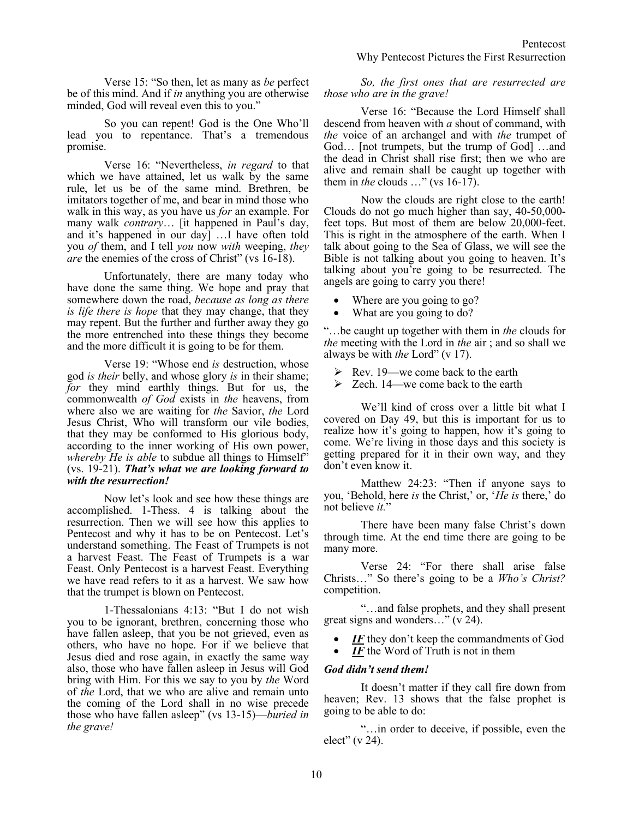Verse 15: "So then, let as many as *be* perfect be of this mind. And if *in* anything you are otherwise minded, God will reveal even this to you."

So you can repent! God is the One Who'll lead you to repentance. That's a tremendous promise.

Verse 16: "Nevertheless, *in regard* to that which we have attained, let us walk by the same rule, let us be of the same mind. Brethren, be imitators together of me, and bear in mind those who walk in this way, as you have us *for* an example. For many walk *contrary*… [it happened in Paul's day, and it's happened in our day] …I have often told you *of* them, and I tell *you* now *with* weeping, *they are* the enemies of the cross of Christ" (vs 16-18).

Unfortunately, there are many today who have done the same thing. We hope and pray that somewhere down the road, *because as long as there is life there is hope* that they may change, that they may repent. But the further and further away they go the more entrenched into these things they become and the more difficult it is going to be for them.

Verse 19: "Whose end *is* destruction, whose god *is their* belly, and whose glory *is* in their shame; *for* they mind earthly things. But for us, the commonwealth *of God* exists in *the* heavens, from where also we are waiting for *the* Savior, *the* Lord Jesus Christ, Who will transform our vile bodies, that they may be conformed to His glorious body, according to the inner working of His own power, whereby *He is able* to subdue all things to Himself" (vs. 19-21). *That's what we are looking forward to with the resurrection!*

Now let's look and see how these things are accomplished. 1-Thess. 4 is talking about the resurrection. Then we will see how this applies to Pentecost and why it has to be on Pentecost. Let's understand something. The Feast of Trumpets is not a harvest Feast. The Feast of Trumpets is a war Feast. Only Pentecost is a harvest Feast. Everything we have read refers to it as a harvest. We saw how that the trumpet is blown on Pentecost.

1-Thessalonians 4:13: "But I do not wish you to be ignorant, brethren, concerning those who have fallen asleep, that you be not grieved, even as others, who have no hope. For if we believe that Jesus died and rose again, in exactly the same way also, those who have fallen asleep in Jesus will God bring with Him. For this we say to you by *the* Word of *the* Lord, that we who are alive and remain unto the coming of the Lord shall in no wise precede those who have fallen asleep" (vs 13-15)—*buried in the grave!*

*So, the first ones that are resurrected are those who are in the grave!* 

Verse 16: "Because the Lord Himself shall descend from heaven with *a* shout of command, with *the* voice of an archangel and with *the* trumpet of God… [not trumpets, but the trump of God] …and the dead in Christ shall rise first; then we who are alive and remain shall be caught up together with them in *the* clouds …" (vs 16-17).

Now the clouds are right close to the earth! Clouds do not go much higher than say, 40-50,000 feet tops. But most of them are below 20,000-feet. This is right in the atmosphere of the earth. When I talk about going to the Sea of Glass, we will see the Bible is not talking about you going to heaven. It's talking about you're going to be resurrected. The angels are going to carry you there!

- Where are you going to go?
- What are you going to do?

"…be caught up together with them in *the* clouds for *the* meeting with the Lord in *the* air ; and so shall we always be with *the* Lord" (v 17).

- $\triangleright$  Rev. 19—we come back to the earth
- $\geq$  Zech. 14—we come back to the earth

We'll kind of cross over a little bit what I covered on Day 49, but this is important for us to realize how it's going to happen, how it's going to come. We're living in those days and this society is getting prepared for it in their own way, and they don't even know it.

Matthew 24:23: "Then if anyone says to you, 'Behold, here *is* the Christ,' or, '*He is* there,' do not believe *it.*"

There have been many false Christ's down through time. At the end time there are going to be many more.

Verse 24: "For there shall arise false Christs…" So there's going to be a *Who's Christ?*  competition.

"…and false prophets, and they shall present great signs and wonders…" (v 24).

- *IF* they don't keep the commandments of God
- *IF* the Word of Truth is not in them

## *God didn't send them!*

It doesn't matter if they call fire down from heaven; Rev. 13 shows that the false prophet is going to be able to do:

"…in order to deceive, if possible, even the elect" (v 24).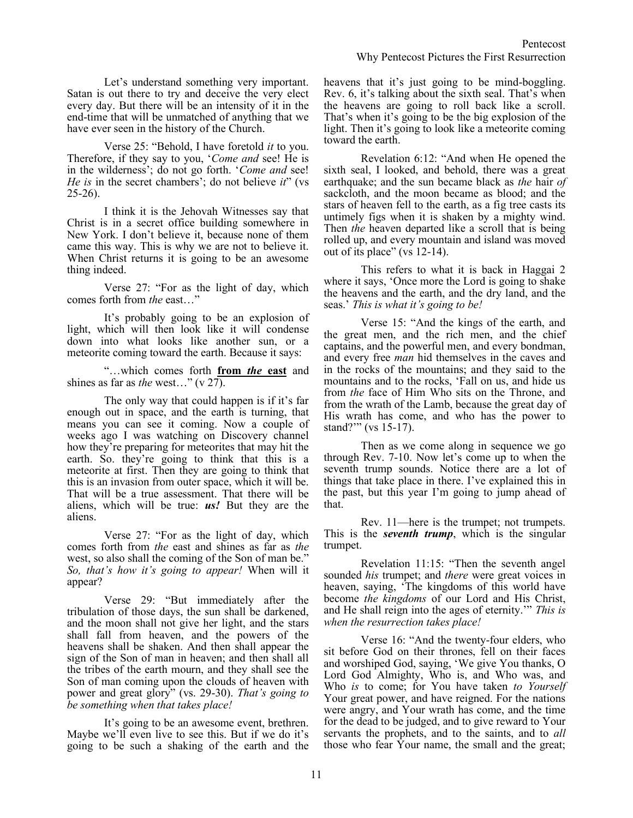Verse 25: "Behold, I have foretold *it* to you. Therefore, if they say to you, '*Come and* see! He is in the wilderness'; do not go forth. '*Come and* see! *He is* in the secret chambers'; do not believe *it*" (vs 25-26).

have ever seen in the history of the Church.

I think it is the Jehovah Witnesses say that Christ is in a secret office building somewhere in New York. I don't believe it, because none of them came this way. This is why we are not to believe it. When Christ returns it is going to be an awesome thing indeed.

Verse 27: "For as the light of day, which comes forth from *the* east…"

It's probably going to be an explosion of light, which will then look like it will condense down into what looks like another sun, or a meteorite coming toward the earth. Because it says:

"…which comes forth **from** *the* **east** and shines as far as *the* west…" (v 27).

The only way that could happen is if it's far enough out in space, and the earth is turning, that means you can see it coming. Now a couple of weeks ago I was watching on Discovery channel how they're preparing for meteorites that may hit the earth. So. they're going to think that this is a meteorite at first. Then they are going to think that this is an invasion from outer space, which it will be. That will be a true assessment. That there will be aliens, which will be true: *us!* But they are the aliens.

Verse 27: "For as the light of day, which comes forth from *the* east and shines as far as *the* west, so also shall the coming of the Son of man be." *So, that's how it's going to appear!* When will it appear?

Verse 29: "But immediately after the tribulation of those days, the sun shall be darkened, and the moon shall not give her light, and the stars shall fall from heaven, and the powers of the heavens shall be shaken. And then shall appear the sign of the Son of man in heaven; and then shall all the tribes of the earth mourn, and they shall see the Son of man coming upon the clouds of heaven with power and great glory" (vs. 29-30). *That's going to be something when that takes place!*

It's going to be an awesome event, brethren. Maybe we'll even live to see this. But if we do it's going to be such a shaking of the earth and the

heavens that it's just going to be mind-boggling. Rev. 6, it's talking about the sixth seal. That's when the heavens are going to roll back like a scroll. That's when it's going to be the big explosion of the light. Then it's going to look like a meteorite coming toward the earth.

Revelation 6:12: "And when He opened the sixth seal, I looked, and behold, there was a great earthquake; and the sun became black as *the* hair *of* sackcloth, and the moon became as blood; and the stars of heaven fell to the earth, as a fig tree casts its untimely figs when it is shaken by a mighty wind. Then *the* heaven departed like a scroll that is being rolled up, and every mountain and island was moved out of its place" (vs 12-14).

This refers to what it is back in Haggai 2 where it says, 'Once more the Lord is going to shake the heavens and the earth, and the dry land, and the seas.' *This is what it's going to be!*

Verse 15: "And the kings of the earth, and the great men, and the rich men, and the chief captains, and the powerful men, and every bondman, and every free *man* hid themselves in the caves and in the rocks of the mountains; and they said to the mountains and to the rocks, 'Fall on us, and hide us from *the* face of Him Who sits on the Throne, and from the wrath of the Lamb, because the great day of His wrath has come, and who has the power to stand?'" (vs 15-17).

Then as we come along in sequence we go through Rev. 7-10. Now let's come up to when the seventh trump sounds. Notice there are a lot of things that take place in there. I've explained this in the past, but this year I'm going to jump ahead of that.

Rev. 11—here is the trumpet; not trumpets. This is the *seventh trump*, which is the singular trumpet.

Revelation 11:15: "Then the seventh angel sounded *his* trumpet; and *there* were great voices in heaven, saying, 'The kingdoms of this world have become *the kingdoms* of our Lord and His Christ, and He shall reign into the ages of eternity.'" *This is when the resurrection takes place!* 

Verse 16: "And the twenty-four elders, who sit before God on their thrones, fell on their faces and worshiped God, saying, 'We give You thanks, O Lord God Almighty, Who is, and Who was, and Who *is* to come; for You have taken *to Yourself* Your great power, and have reigned. For the nations were angry, and Your wrath has come, and the time for the dead to be judged, and to give reward to Your servants the prophets, and to the saints, and to *all* those who fear Your name, the small and the great;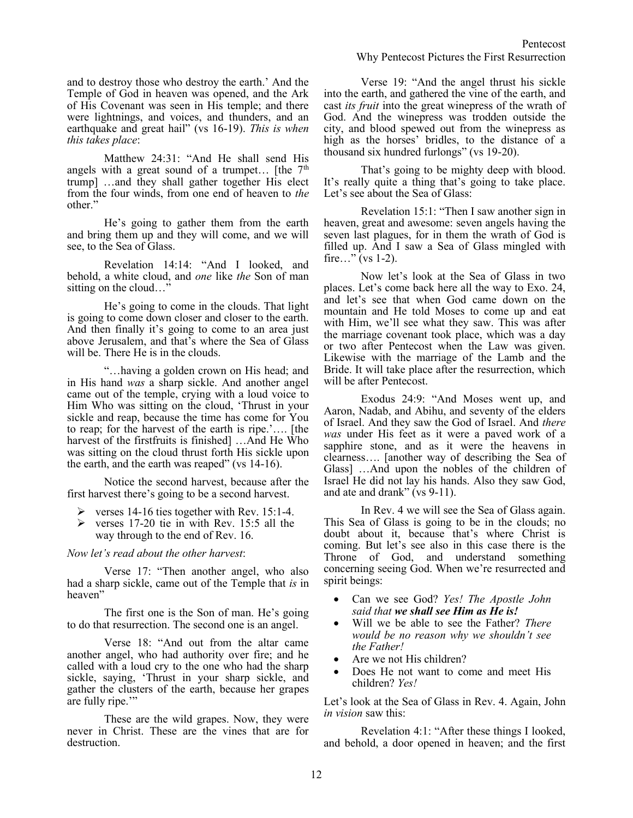and to destroy those who destroy the earth.' And the Temple of God in heaven was opened, and the Ark of His Covenant was seen in His temple; and there were lightnings, and voices, and thunders, and an earthquake and great hail" (vs 16-19). *This is when this takes place*:

Matthew 24:31: "And He shall send His angels with a great sound of a trumpet... [the  $7<sup>th</sup>$ trump] …and they shall gather together His elect from the four winds, from one end of heaven to *the* other."

He's going to gather them from the earth and bring them up and they will come, and we will see, to the Sea of Glass.

Revelation 14:14: "And I looked, and behold, a white cloud, and *one* like *the* Son of man sitting on the cloud…"

He's going to come in the clouds. That light is going to come down closer and closer to the earth. And then finally it's going to come to an area just above Jerusalem, and that's where the Sea of Glass will be. There He is in the clouds.

"…having a golden crown on His head; and in His hand *was* a sharp sickle. And another angel came out of the temple, crying with a loud voice to Him Who was sitting on the cloud, 'Thrust in your sickle and reap, because the time has come for You to reap; for the harvest of the earth is ripe.'…. [the harvest of the firstfruits is finished] …And He Who was sitting on the cloud thrust forth His sickle upon the earth, and the earth was reaped" (vs 14-16).

Notice the second harvest, because after the first harvest there's going to be a second harvest.

- $\triangleright$  verses 14-16 ties together with Rev. 15:1-4.
- ➢ verses 17-20 tie in with Rev. 15:5 all the way through to the end of Rev. 16.

*Now let's read about the other harvest*:

Verse 17: "Then another angel, who also had a sharp sickle, came out of the Temple that *is* in heaven"

The first one is the Son of man. He's going to do that resurrection. The second one is an angel.

Verse 18: "And out from the altar came another angel, who had authority over fire; and he called with a loud cry to the one who had the sharp sickle, saying, 'Thrust in your sharp sickle, and gather the clusters of the earth, because her grapes are fully ripe.'"

These are the wild grapes. Now, they were never in Christ. These are the vines that are for destruction.

Verse 19: "And the angel thrust his sickle into the earth, and gathered the vine of the earth, and cast *its fruit* into the great winepress of the wrath of God. And the winepress was trodden outside the city, and blood spewed out from the winepress as high as the horses' bridles, to the distance of a thousand six hundred furlongs" (vs 19-20).

That's going to be mighty deep with blood. It's really quite a thing that's going to take place. Let's see about the Sea of Glass:

Revelation 15:1: "Then I saw another sign in heaven, great and awesome: seven angels having the seven last plagues, for in them the wrath of God is filled up. And I saw a Sea of Glass mingled with fire..." (vs  $1-2$ ).

Now let's look at the Sea of Glass in two places. Let's come back here all the way to Exo. 24, and let's see that when God came down on the mountain and He told Moses to come up and eat with Him, we'll see what they saw. This was after the marriage covenant took place, which was a day or two after Pentecost when the Law was given. Likewise with the marriage of the Lamb and the Bride. It will take place after the resurrection, which will be after Pentecost.

Exodus 24:9: "And Moses went up, and Aaron, Nadab, and Abihu, and seventy of the elders of Israel. And they saw the God of Israel. And *there was* under His feet as it were a paved work of a sapphire stone, and as it were the heavens in clearness…. [another way of describing the Sea of Glass] …And upon the nobles of the children of Israel He did not lay his hands. Also they saw God, and ate and drank" (vs 9-11).

In Rev. 4 we will see the Sea of Glass again. This Sea of Glass is going to be in the clouds; no doubt about it, because that's where Christ is coming. But let's see also in this case there is the Throne of God, and understand something concerning seeing God. When we're resurrected and spirit beings:

- Can we see God? *Yes! The Apostle John said that we shall see Him as He is!*
- Will we be able to see the Father? *There would be no reason why we shouldn't see the Father!*
- Are we not His children?
- Does He not want to come and meet His children? *Yes!*

Let's look at the Sea of Glass in Rev. 4. Again, John *in vision* saw this:

Revelation 4:1: "After these things I looked, and behold, a door opened in heaven; and the first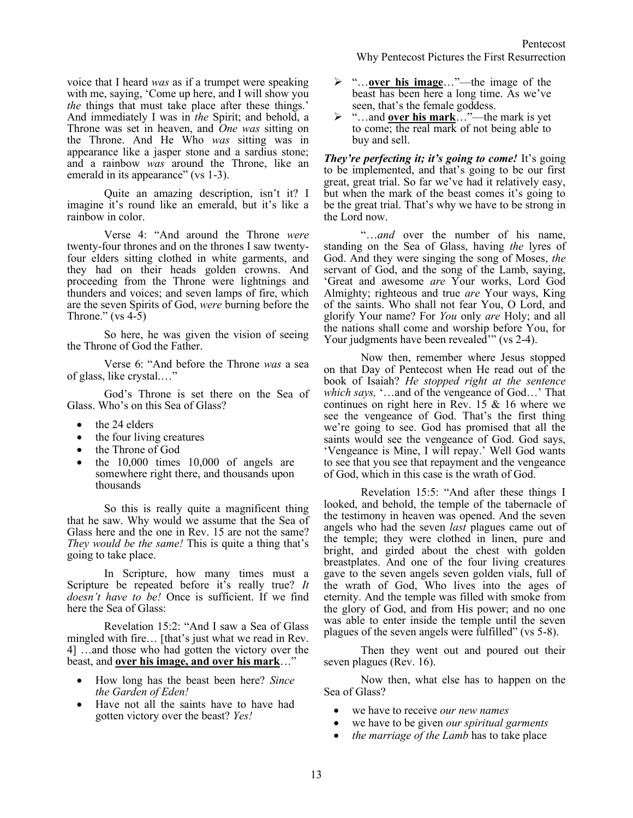voice that I heard *was* as if a trumpet were speaking with me, saying, 'Come up here, and I will show you *the* things that must take place after these things.' And immediately I was in *the* Spirit; and behold, a Throne was set in heaven, and *One was* sitting on the Throne. And He Who *was* sitting was in appearance like a jasper stone and a sardius stone; and a rainbow *was* around the Throne, like an emerald in its appearance" (vs 1-3).

Quite an amazing description, isn't it? I imagine it's round like an emerald, but it's like a rainbow in color.

Verse 4: "And around the Throne *were* twenty-four thrones and on the thrones I saw twentyfour elders sitting clothed in white garments, and they had on their heads golden crowns. And proceeding from the Throne were lightnings and thunders and voices; and seven lamps of fire, which are the seven Spirits of God, *were* burning before the Throne."  $(vs 4-5)$ 

So here, he was given the vision of seeing the Throne of God the Father.

Verse 6: "And before the Throne *was* a sea of glass, like crystal.…"

God's Throne is set there on the Sea of Glass. Who's on this Sea of Glass?

- the 24 elders
- the four living creatures
- the Throne of God
- the  $10,000$  times  $10,000$  of angels are somewhere right there, and thousands upon thousands

So this is really quite a magnificent thing that he saw. Why would we assume that the Sea of Glass here and the one in Rev. 15 are not the same? *They would be the same!* This is quite a thing that's going to take place.

In Scripture, how many times must a Scripture be repeated before it's really true? *It doesn't have to be!* Once is sufficient. If we find here the Sea of Glass:

Revelation 15:2: "And I saw a Sea of Glass mingled with fire… [that's just what we read in Rev. 4] …and those who had gotten the victory over the beast, and **over his image, and over his mark**…"

- How long has the beast been here? *Since the Garden of Eden!*
- Have not all the saints have to have had gotten victory over the beast? *Yes!*
- ➢ "…**over his image**…"—the image of the beast has been here a long time. As we've seen, that's the female goddess.
- ➢ "…and **over his mark**…"—the mark is yet to come; the real mark of not being able to buy and sell.

*They're perfecting it; it's going to come!* It's going to be implemented, and that's going to be our first great, great trial. So far we've had it relatively easy, but when the mark of the beast comes it's going to be the great trial. That's why we have to be strong in the Lord now.

"…*and* over the number of his name, standing on the Sea of Glass, having *the* lyres of God. And they were singing the song of Moses, *the* servant of God, and the song of the Lamb, saying, 'Great and awesome *are* Your works, Lord God Almighty; righteous and true *are* Your ways, King of the saints. Who shall not fear You, O Lord, and glorify Your name? For *You* only *are* Holy; and all the nations shall come and worship before You, for Your judgments have been revealed<sup>"</sup> (vs 2-4).

Now then, remember where Jesus stopped on that Day of Pentecost when He read out of the book of Isaiah? *He stopped right at the sentence which says,* '…and of the vengeance of God…' That continues on right here in Rev. 15 & 16 where we see the vengeance of God. That's the first thing we're going to see. God has promised that all the saints would see the vengeance of God. God says, 'Vengeance is Mine, I will repay.' Well God wants to see that you see that repayment and the vengeance of God, which in this case is the wrath of God.

Revelation 15:5: "And after these things I looked, and behold, the temple of the tabernacle of the testimony in heaven was opened. And the seven angels who had the seven *last* plagues came out of the temple; they were clothed in linen, pure and bright, and girded about the chest with golden breastplates. And one of the four living creatures gave to the seven angels seven golden vials, full of the wrath of God, Who lives into the ages of eternity. And the temple was filled with smoke from the glory of God, and from His power; and no one was able to enter inside the temple until the seven plagues of the seven angels were fulfilled" (vs 5-8).

Then they went out and poured out their seven plagues (Rev. 16).

Now then, what else has to happen on the Sea of Glass?

- we have to receive *our new names*
- we have to be given *our spiritual garments*
- *the marriage of the Lamb* has to take place